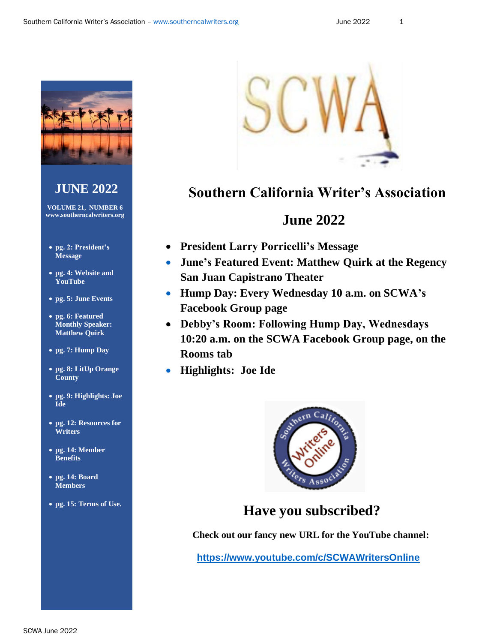

## **JUNE 2022**

**VOLUME 21, NUMBER 6 www.southerncalwriters.org**

- **pg. 2: President's Message**
- **pg. 4: Website and YouTube**
- **pg. 5: June Events**
- **pg. 6: Featured Monthly Speaker: Matthew Quirk**
- **pg. 7: Hump Day**
- **pg. 8: LitUp Orange County**
- **pg. 9: Highlights: Joe Ide**
- **pg. 12: Resources for Writers**
- **pg. 14: Member Benefits**
- **pg. 14: Board Members**
- **pg. 15: Terms of Use.**



## **Southern California Writer's Association**

## **June 2022**

- **President Larry Porricelli's Message**
- **June's Featured Event: Matthew Quirk at the Regency San Juan Capistrano Theater**
- **Hump Day: Every Wednesday 10 a.m. on SCWA's Facebook Group page**
- **Debby's Room: Following Hump Day, Wednesdays 10:20 a.m. on the SCWA Facebook Group page, on the Rooms tab**
- **Highlights: Joe Ide**



## **Have you subscribed?**

 **Check out our fancy new URL for the YouTube channel:**

**<https://www.youtube.com/c/SCWAWritersOnline>**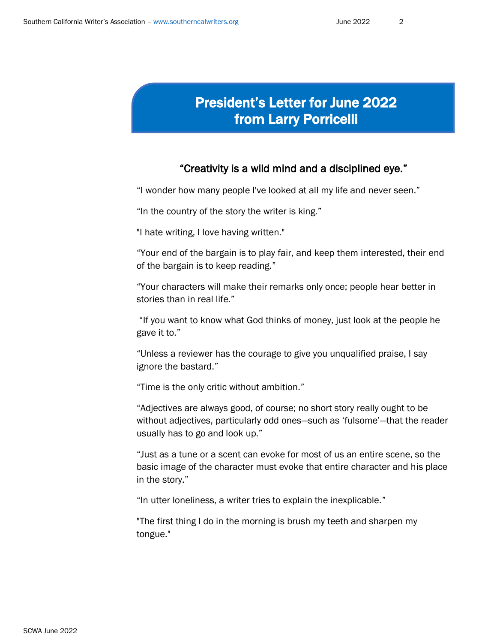# President's Letter for June 2022 from Larry Porricelli

#### "Creativity is a wild mind and a disciplined eye."

"I wonder how many people I've looked at all my life and never seen."

"In the country of the story the writer is king."

"I hate writing, I love having written."

"Your end of the bargain is to play fair, and keep them interested, their end of the bargain is to keep reading."

"Your characters will make their remarks only once; people hear better in stories than in real life."

"If you want to know what God thinks of money, just look at the people he gave it to."

"Unless a reviewer has the courage to give you unqualified praise, I say ignore the bastard."

"Time is the only critic without ambition."

"Adjectives are always good, of course; no short story really ought to be without adjectives, particularly odd ones—such as 'fulsome'—that the reader usually has to go and look up."

"Just as a tune or a scent can evoke for most of us an entire scene, so the basic image of the character must evoke that entire character and his place in the story."

"In utter loneliness, a writer tries to explain the inexplicable."

"The first thing I do in the morning is brush my teeth and sharpen my tongue."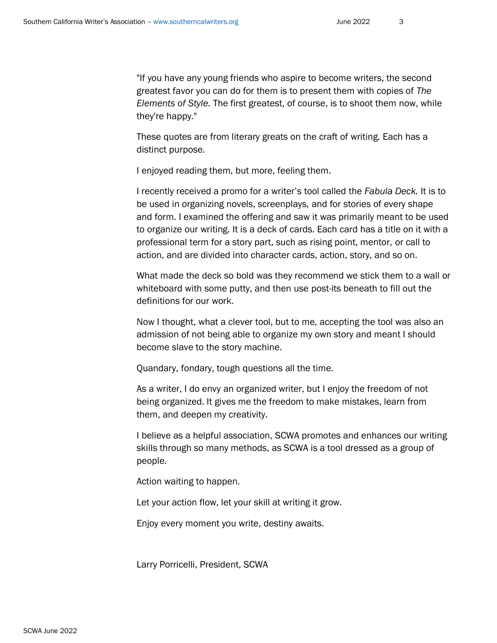"If you have any young friends who aspire to become writers, the second greatest favor you can do for them is to present them with copies of *The Elements of Style*. The first greatest, of course, is to shoot them now, while they're happy."

These quotes are from literary greats on the craft of writing. Each has a distinct purpose.

I enjoyed reading them, but more, feeling them.

I recently received a promo for a writer's tool called the *Fabula Deck.* It is to be used in organizing novels, screenplays, and for stories of every shape and form. I examined the offering and saw it was primarily meant to be used to organize our writing. It is a deck of cards. Each card has a title on it with a professional term for a story part, such as rising point, mentor, or call to action, and are divided into character cards, action, story, and so on.

What made the deck so bold was they recommend we stick them to a wall or whiteboard with some putty, and then use post-its beneath to fill out the definitions for our work.

Now I thought, what a clever tool, but to me, accepting the tool was also an admission of not being able to organize my own story and meant I should become slave to the story machine.

Quandary, fondary, tough questions all the time.

As a writer, I do envy an organized writer, but I enjoy the freedom of not being organized. It gives me the freedom to make mistakes, learn from them, and deepen my creativity.

I believe as a helpful association, SCWA promotes and enhances our writing skills through so many methods, as SCWA is a tool dressed as a group of people.

Action waiting to happen.

Let your action flow, let your skill at writing it grow.

Enjoy every moment you write, destiny awaits.

Larry Porricelli, President, SCWA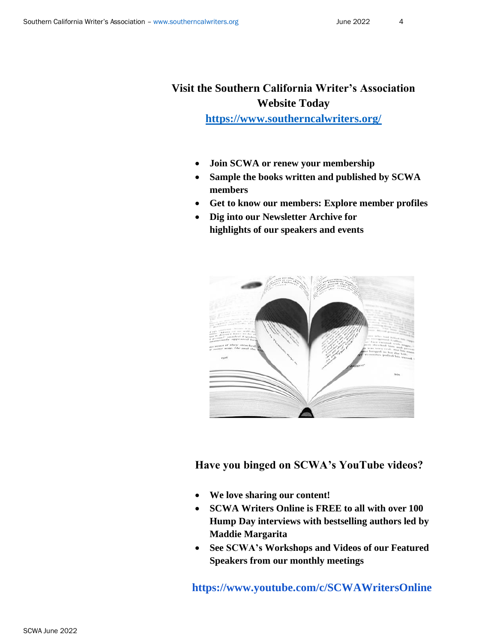## **Visit the Southern California Writer's Association Website Today**

**<https://www.southerncalwriters.org/>**

- **Join SCWA or renew your membership**
- **Sample the books written and published by SCWA members**
- **Get to know our members: Explore member profiles**
- **Dig into our Newsletter Archive for highlights of our speakers and events**



 **Have you binged on SCWA's YouTube videos?**

- **We love sharing our content!**
- **SCWA Writers Online is FREE to all with over 100 Hump Day interviews with bestselling authors led by Maddie Margarita**
- **See SCWA's Workshops and Videos of our Featured Speakers from our monthly meetings**

 **https://www.youtube.com/c/SCWAWritersOnline**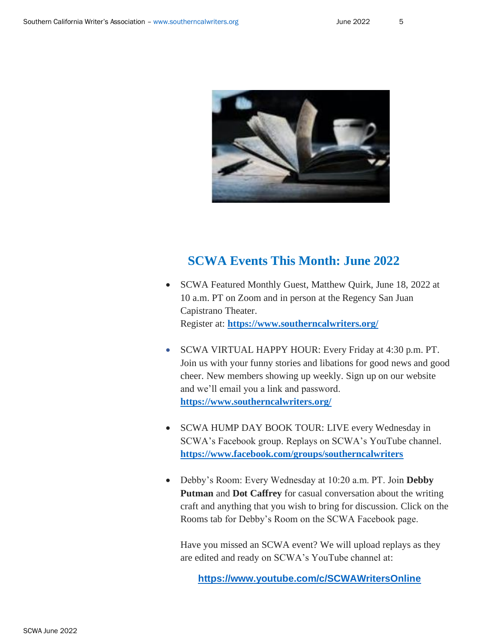

### **SCWA Events This Month: June 2022**

- SCWA Featured Monthly Guest, Matthew Quirk, June 18, 2022 at 10 a.m. PT on Zoom and in person at the Regency San Juan Capistrano Theater. Register at: **<https://www.southerncalwriters.org/>**
- SCWA VIRTUAL HAPPY HOUR: Every Friday at 4:30 p.m. PT. Join us with your funny stories and libations for good news and good cheer. New members showing up weekly. Sign up on our website and we'll email you a link and password. **<https://www.southerncalwriters.org/>**
- SCWA HUMP DAY BOOK TOUR: LIVE every Wednesday in SCWA's Facebook group. Replays on SCWA's YouTube channel. **<https://www.facebook.com/groups/southerncalwriters>**
- Debby's Room: Every Wednesday at 10:20 a.m. PT. Join **Debby Putman** and **Dot Caffrey** for casual conversation about the writing craft and anything that you wish to bring for discussion. Click on the Rooms tab for Debby's Room on the SCWA Facebook page.

Have you missed an SCWA event? We will upload replays as they are edited and ready on SCWA's YouTube channel at:

**<https://www.youtube.com/c/SCWAWritersOnline>**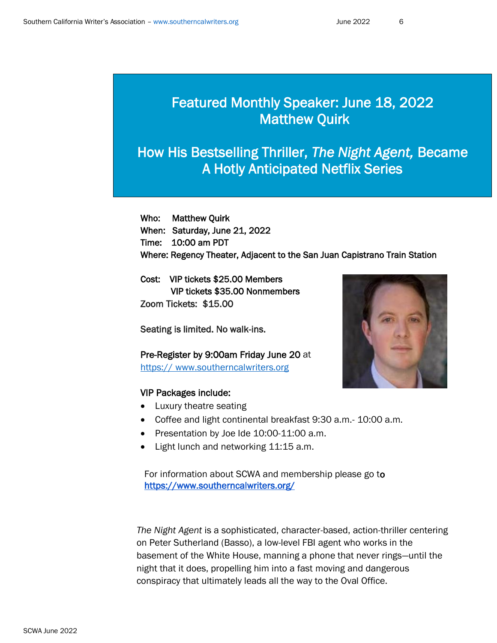## Featured Monthly Speaker: June 18, 2022 Matthew Quirk

# How His Bestselling Thriller, *The Night Agent,* Became A Hotly Anticipated Netflix Series

Ĩ

Who: Matthew Quirk When: Saturday, June 21, 2022 Time: 10:00 am PDT Where: Regency Theater, Adjacent to the San Juan Capistrano Train Station

Cost: VIP tickets \$25.00 Members VIP tickets \$35.00 Nonmembers Zoom Tickets: \$15.00

Seating is limited. No walk-ins.

Pre-Register by 9:00am Friday June 20 at https:// [www.southerncalwriters.org](https://www.southerncalwriters.org/)

#### VIP Packages include:

- Luxury theatre seating
- Coffee and light continental breakfast 9:30 a.m.- 10:00 a.m.
- Presentation by Joe Ide 10:00-11:00 a.m.
- Light lunch and networking 11:15 a.m.

For information about SCWA and membership please go to [https://www.southerncalwriters.org/](https://l.facebook.com/l.php?u=https%3A%2F%2Fwww.southerncalwriters.org%2F%3Ffbclid%3DIwAR3DljGouv5d6lTHFlV8xljasyVYmGsvoTQ3i8MxJ8RSYMJYT4v0qvJp0_o&h=AT0suIQHjdAt3WrX6QD8QsIdoLTMFMGJZtKtFPJZRw2SWsn8hi_BJzZ5uYgNbwq4-FNC5wBKHATlFUWEc1ya63ifXYUf9XOaoLsxzB3WJvv4FvLrSQ2QAZQpqp24WaA2wQ&__tn__=q&c%5b0%5d=AT0Z08W7vwhzu5VAvsvainBr3Vrn4iq9jmvIKinGWqQitnSmAzkUjeKbqQcIOlHmcRVMgJldwRzBHMExUX-UmPR5GeANEioRJMdrk1Dn_xdQD4B33qkcDctIH33Bl9N5wng) 

*The Night Agent* is a sophisticated, character-based, action-thriller centering on Peter Sutherland (Basso), a low-level FBI agent who works in the basement of the White House, manning a phone that never rings—until the night that it does, propelling him into a fast moving and dangerous conspiracy that ultimately leads all the way to the Oval Office.

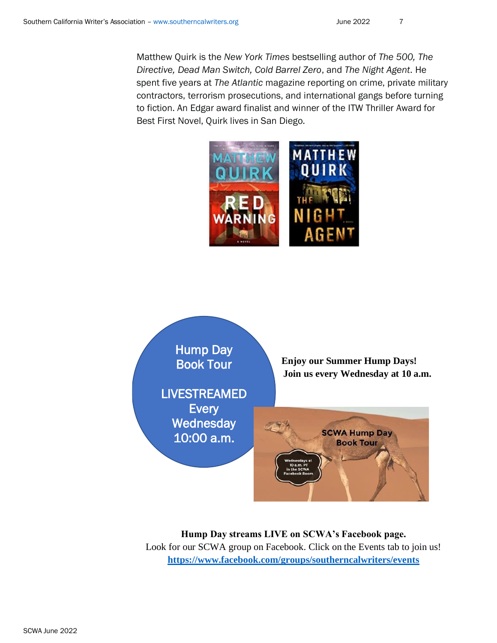Matthew Quirk is the *New York Times* bestselling author of *The 500, The Directive, Dead Man Switch, Cold Barrel Zero*, and *The Night Agent*. He spent five years at *The Atlantic* magazine reporting on crime, private military contractors, terrorism prosecutions, and international gangs before turning to fiction. An Edgar award finalist and winner of the ITW Thriller Award for Best First Novel, Quirk lives in San Diego.





**Hump Day streams LIVE on SCWA's Facebook page.**  Look for our SCWA group on Facebook. Click on the Events tab to join us! **<https://www.facebook.com/groups/southerncalwriters/events>**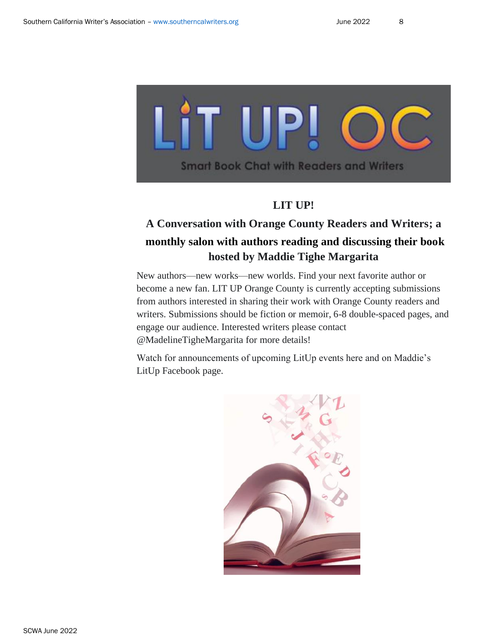

#### **LIT UP!**

## **A Conversation with Orange County Readers and Writers; a monthly salon with authors reading and discussing their book hosted by Maddie Tighe Margarita**

New authors—new works—new worlds. Find your next favorite author or become a new fan. LIT UP Orange County is currently accepting submissions from authors interested in sharing their work with Orange County readers and writers. Submissions should be fiction or memoir, 6-8 double-spaced pages, and engage our audience. Interested writers please contact @MadelineTigheMargarita for more details!

Watch for announcements of upcoming LitUp events here and on Maddie's LitUp Facebook page.

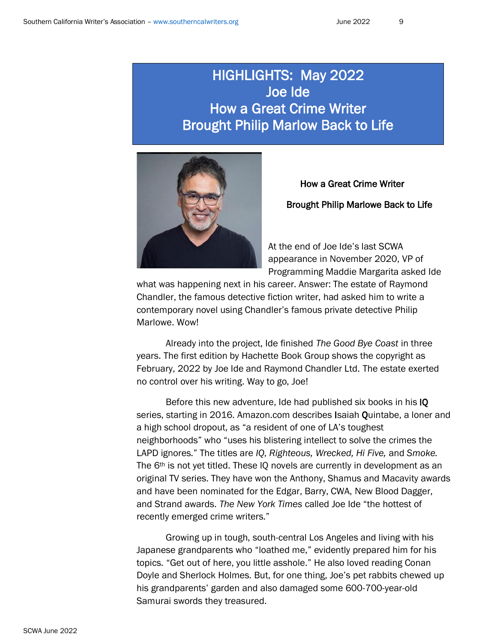## HIGHLIGHTS: May 2022 Joe Ide How a Great Crime Writer Brought Philip Marlow Back to Life



# How a Great Crime Writer Brought Philip Marlowe Back to Life

At the end of Joe Ide's last SCWA appearance in November 2020, VP of Programming Maddie Margarita asked Ide

what was happening next in his career. Answer: The estate of Raymond Chandler, the famous detective fiction writer, had asked him to write a contemporary novel using Chandler's famous private detective Philip Marlowe. Wow!

Already into the project, Ide finished *The Good Bye Coast* in three years. The first edition by Hachette Book Group shows the copyright as February, 2022 by Joe Ide and Raymond Chandler Ltd. The estate exerted no control over his writing. Way to go, Joe!

Before this new adventure, Ide had published six books in his IQ series, starting in 2016. Amazon.com describes Isaiah Quintabe, a loner and a high school dropout, as "a resident of one of LA's toughest neighborhoods" who "uses his blistering intellect to solve the crimes the LAPD ignores." The titles are *IQ*, *Righteous, Wrecked, Hi Five,* and *Smoke.*  The 6<sup>th</sup> is not yet titled. These IQ novels are currently in development as an original TV series. They have won the Anthony, Shamus and Macavity awards and have been nominated for the Edgar, Barry, CWA, New Blood Dagger, and Strand awards. *The New York Times* called Joe Ide "the hottest of recently emerged crime writers."

Growing up in tough, south-central Los Angeles and living with his Japanese grandparents who "loathed me," evidently prepared him for his topics. "Get out of here, you little asshole." He also loved reading Conan Doyle and Sherlock Holmes. But, for one thing, Joe's pet rabbits chewed up his grandparents' garden and also damaged some 600-700-year-old Samurai swords they treasured.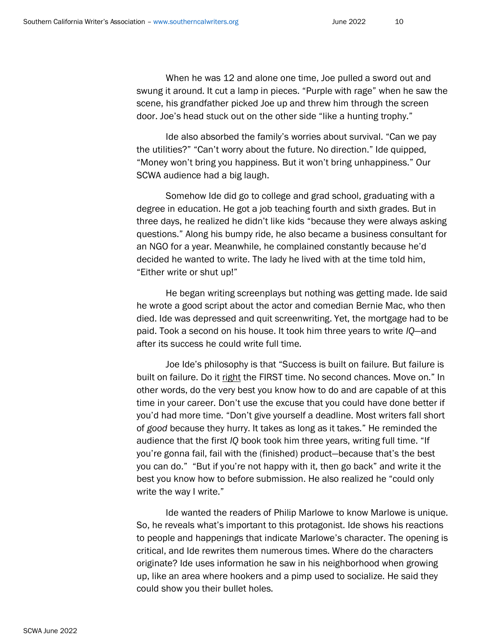When he was 12 and alone one time, Joe pulled a sword out and swung it around. It cut a lamp in pieces. "Purple with rage" when he saw the scene, his grandfather picked Joe up and threw him through the screen door. Joe's head stuck out on the other side "like a hunting trophy."

Ide also absorbed the family's worries about survival. "Can we pay the utilities?" "Can't worry about the future. No direction." Ide quipped, "Money won't bring you happiness. But it won't bring unhappiness." Our SCWA audience had a big laugh.

Somehow Ide did go to college and grad school, graduating with a degree in education. He got a job teaching fourth and sixth grades. But in three days, he realized he didn't like kids "because they were always asking questions." Along his bumpy ride, he also became a business consultant for an NGO for a year. Meanwhile, he complained constantly because he'd decided he wanted to write. The lady he lived with at the time told him, "Either write or shut up!"

He began writing screenplays but nothing was getting made. Ide said he wrote a good script about the actor and comedian Bernie Mac, who then died. Ide was depressed and quit screenwriting. Yet, the mortgage had to be paid. Took a second on his house. It took him three years to write *IQ*—and after its success he could write full time.

Joe Ide's philosophy is that "Success is built on failure. But failure is built on failure. Do it right the FIRST time. No second chances. Move on." In other words, do the very best you know how to do and are capable of at this time in your career. Don't use the excuse that you could have done better if you'd had more time. "Don't give yourself a deadline. Most writers fall short of *good* because they hurry. It takes as long as it takes." He reminded the audience that the first *IQ* book took him three years, writing full time. "If you're gonna fail, fail with the (finished) product—because that's the best you can do." "But if you're not happy with it, then go back" and write it the best you know how to before submission. He also realized he "could only write the way I write."

Ide wanted the readers of Philip Marlowe to know Marlowe is unique. So, he reveals what's important to this protagonist. Ide shows his reactions to people and happenings that indicate Marlowe's character. The opening is critical, and Ide rewrites them numerous times. Where do the characters originate? Ide uses information he saw in his neighborhood when growing up, like an area where hookers and a pimp used to socialize. He said they could show you their bullet holes.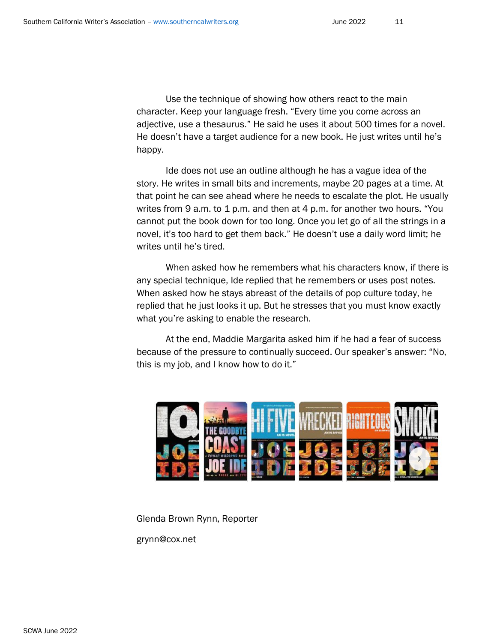Use the technique of showing how others react to the main character. Keep your language fresh. "Every time you come across an adjective, use a thesaurus." He said he uses it about 500 times for a novel. He doesn't have a target audience for a new book. He just writes until he's happy.

Ide does not use an outline although he has a vague idea of the story. He writes in small bits and increments, maybe 20 pages at a time. At that point he can see ahead where he needs to escalate the plot. He usually writes from 9 a.m. to 1 p.m. and then at 4 p.m. for another two hours. "You cannot put the book down for too long. Once you let go of all the strings in a novel, it's too hard to get them back." He doesn't use a daily word limit; he writes until he's tired.

When asked how he remembers what his characters know, if there is any special technique, Ide replied that he remembers or uses post notes. When asked how he stays abreast of the details of pop culture today, he replied that he just looks it up. But he stresses that you must know exactly what you're asking to enable the research.

At the end, Maddie Margarita asked him if he had a fear of success because of the pressure to continually succeed. Our speaker's answer: "No, this is my job, and I know how to do it."



Glenda Brown Rynn, Reporter grynn@cox.net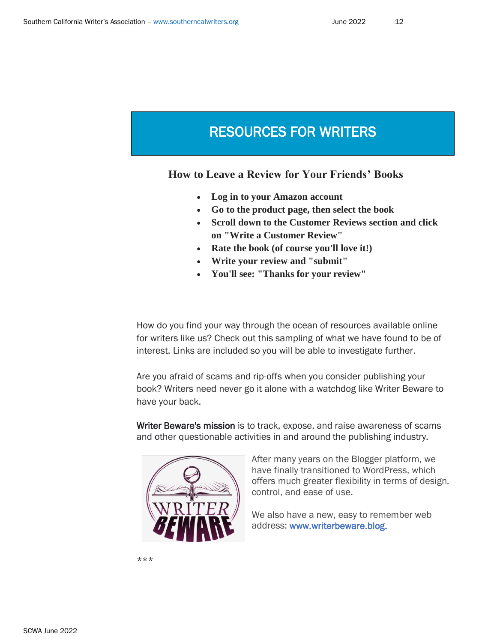## RESOURCES FOR WRITERS

 $\overline{a}$ 

 **How to Leave a Review for Your Friends' Books**

- **Log in to your Amazon account**
- **Go to the product page, then select the book**
- **Scroll down to the Customer Reviews section and click on "Write a Customer Review"**
- **Rate the book (of course you'll love it!)**
- **Write your review and "submit"**
- **You'll see: "Thanks for your review"**

How do you find your way through the ocean of resources available online for writers like us? Check out this sampling of what we have found to be of interest. Links are included so you will be able to investigate further.

Are you afraid of scams and rip-offs when you consider publishing your book? Writers need never go it alone with a watchdog like Writer Beware to have your back.

Writer Beware's mission is to track, expose, and raise awareness of scams white the current of the same and around the publishing industry and other questionable activities in and around the publishing industry.



After many years on the Blogger platform, we have finally transitioned to WordPress, which offers much greater flexibility in terms of design, control, and ease of use.

We also have a new, easy to remember web address: www[.writerbeware.blog.](https://www.writerbeware.blog/)

\*\*\*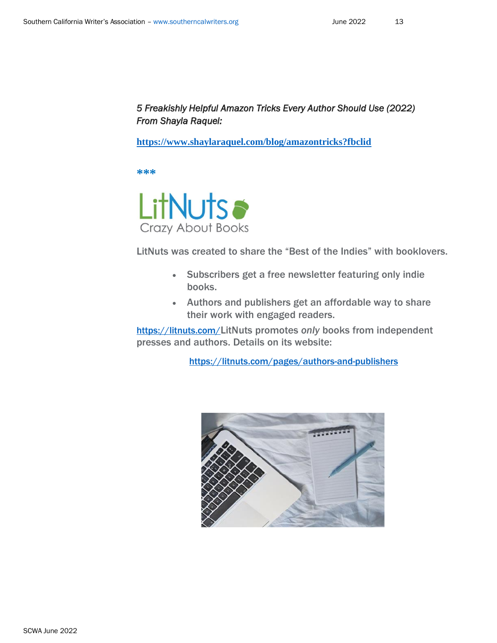#### *5 Freakishly Helpful Amazon Tricks Every Author Should Use (2022) From Shayla Raquel:*

**<https://www.shaylaraquel.com/blog/amazontricks?fbclid>**

**\*\*\***



LitNuts was created to share the "Best of the Indies" with booklovers.

- Subscribers get a free newsletter featuring only indie books.
- Authors and publishers get an affordable way to share their work with engaged readers.

<https://litnuts.com/>LitNuts promotes *only* books from independent presses and authors. Details on its website:

<https://litnuts.com/pages/authors-and-publishers>

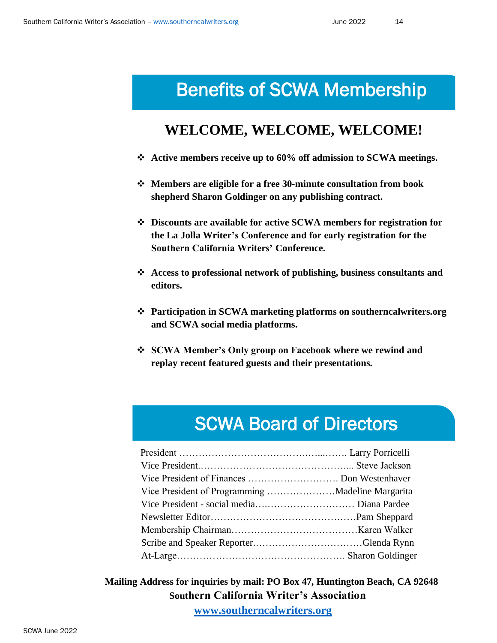# Benefits of SCWA Membership

## **WELCOME, WELCOME, WELCOME!**

- ❖ **Active members receive up to 60% off admission to SCWA meetings.**
- ❖ **Members are eligible for a free 30-minute consultation from book shepherd Sharon Goldinger on any publishing contract.**
- ❖ **Discounts are available for active SCWA members for registration for the La Jolla Writer's Conference and for early registration for the Southern California Writers' Conference.**
- ❖ **Access to professional network of publishing, business consultants and editors.**
- ❖ **Participation in SCWA marketing platforms on southerncalwriters.org and SCWA social media platforms.**
- ❖ **SCWA Member's Only group on Facebook where we rewind and replay recent featured guests and their presentations.**

# SCWA Board of Directors

| Vice President of Finances  Don Westenhaver |  |
|---------------------------------------------|--|
|                                             |  |
|                                             |  |
|                                             |  |
|                                             |  |
|                                             |  |
|                                             |  |

 **Mailing Address for inquiries by mail: PO Box 47, Huntington Beach, CA 92648 Southern California Writer's Association [www.southerncalwriters.org](http://www.southerncalwriters.org/)**